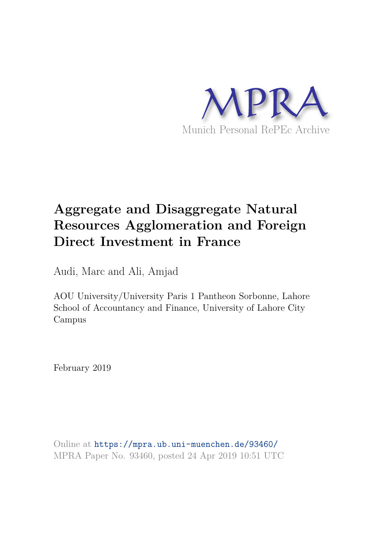

# **Aggregate and Disaggregate Natural Resources Agglomeration and Foreign Direct Investment in France**

Audi, Marc and Ali, Amjad

AOU University/University Paris 1 Pantheon Sorbonne, Lahore School of Accountancy and Finance, University of Lahore City Campus

February 2019

Online at https://mpra.ub.uni-muenchen.de/93460/ MPRA Paper No. 93460, posted 24 Apr 2019 10:51 UTC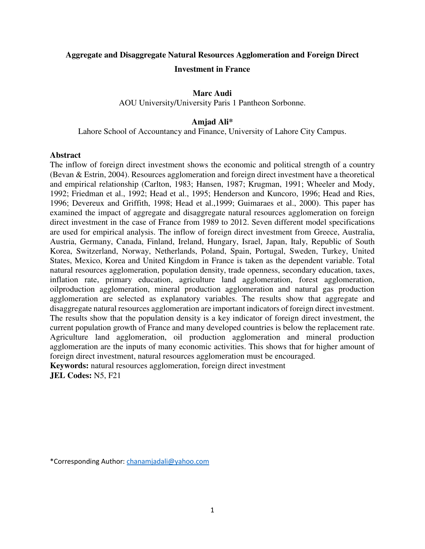# **Aggregate and Disaggregate Natural Resources Agglomeration and Foreign Direct Investment in France**

# **Marc Audi**

AOU University/University Paris 1 Pantheon Sorbonne.

### **Amjad Ali\***

Lahore School of Accountancy and Finance, University of Lahore City Campus.

#### **Abstract**

The inflow of foreign direct investment shows the economic and political strength of a country (Bevan & Estrin, 2004). Resources agglomeration and foreign direct investment have a theoretical and empirical relationship (Carlton, 1983; Hansen, 1987; Krugman, 1991; Wheeler and Mody, 1992; Friedman et al., 1992; Head et al., 1995; Henderson and Kuncoro, 1996; Head and Ries, 1996; Devereux and Griffith, 1998; Head et al.,1999; Guimaraes et al., 2000). This paper has examined the impact of aggregate and disaggregate natural resources agglomeration on foreign direct investment in the case of France from 1989 to 2012. Seven different model specifications are used for empirical analysis. The inflow of foreign direct investment from Greece, Australia, Austria, Germany, Canada, Finland, Ireland, Hungary, Israel, Japan, Italy, Republic of South Korea, Switzerland, Norway, Netherlands, Poland, Spain, Portugal, Sweden, Turkey, United States, Mexico, Korea and United Kingdom in France is taken as the dependent variable. Total natural resources agglomeration, population density, trade openness, secondary education, taxes, inflation rate, primary education, agriculture land agglomeration, forest agglomeration, oilproduction agglomeration, mineral production agglomeration and natural gas production agglomeration are selected as explanatory variables. The results show that aggregate and disaggregate natural resources agglomeration are important indicators of foreign direct investment. The results show that the population density is a key indicator of foreign direct investment, the current population growth of France and many developed countries is below the replacement rate. Agriculture land agglomeration, oil production agglomeration and mineral production agglomeration are the inputs of many economic activities. This shows that for higher amount of foreign direct investment, natural resources agglomeration must be encouraged. **Keywords:** natural resources agglomeration, foreign direct investment

**JEL Codes:** N5, F21

<sup>\*</sup>Corresponding Author: [chanamjadali@yahoo.com](mailto:chanamjadali@yahoo.com)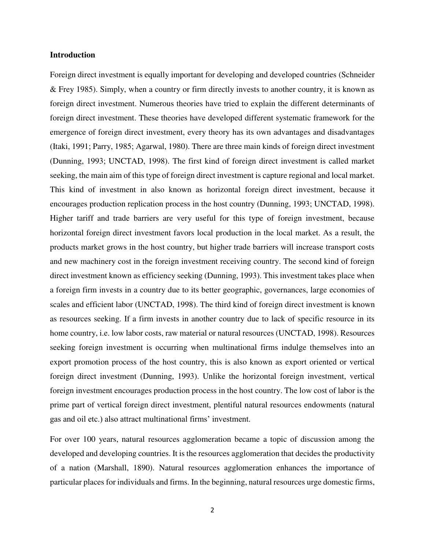#### **Introduction**

Foreign direct investment is equally important for developing and developed countries (Schneider & Frey 1985). Simply, when a country or firm directly invests to another country, it is known as foreign direct investment. Numerous theories have tried to explain the different determinants of foreign direct investment. These theories have developed different systematic framework for the emergence of foreign direct investment, every theory has its own advantages and disadvantages (Itaki, 1991; Parry, 1985; Agarwal, 1980). There are three main kinds of foreign direct investment (Dunning, 1993; UNCTAD, 1998). The first kind of foreign direct investment is called market seeking, the main aim of this type of foreign direct investment is capture regional and local market. This kind of investment in also known as horizontal foreign direct investment, because it encourages production replication process in the host country (Dunning, 1993; UNCTAD, 1998). Higher tariff and trade barriers are very useful for this type of foreign investment, because horizontal foreign direct investment favors local production in the local market. As a result, the products market grows in the host country, but higher trade barriers will increase transport costs and new machinery cost in the foreign investment receiving country. The second kind of foreign direct investment known as efficiency seeking (Dunning, 1993). This investment takes place when a foreign firm invests in a country due to its better geographic, governances, large economies of scales and efficient labor (UNCTAD, 1998). The third kind of foreign direct investment is known as resources seeking. If a firm invests in another country due to lack of specific resource in its home country, i.e. low labor costs, raw material or natural resources (UNCTAD, 1998). Resources seeking foreign investment is occurring when multinational firms indulge themselves into an export promotion process of the host country, this is also known as export oriented or vertical foreign direct investment (Dunning, 1993). Unlike the horizontal foreign investment, vertical foreign investment encourages production process in the host country. The low cost of labor is the prime part of vertical foreign direct investment, plentiful natural resources endowments (natural gas and oil etc.) also attract multinational firms' investment.

For over 100 years, natural resources agglomeration became a topic of discussion among the developed and developing countries. It is the resources agglomeration that decides the productivity of a nation (Marshall, 1890). Natural resources agglomeration enhances the importance of particular places for individuals and firms. In the beginning, natural resources urge domestic firms,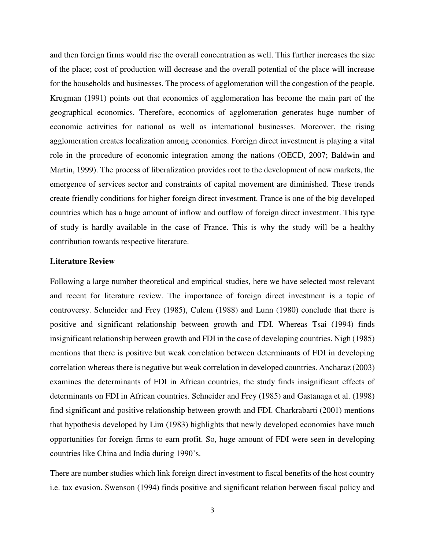and then foreign firms would rise the overall concentration as well. This further increases the size of the place; cost of production will decrease and the overall potential of the place will increase for the households and businesses. The process of agglomeration will the congestion of the people. Krugman (1991) points out that economics of agglomeration has become the main part of the geographical economics. Therefore, economics of agglomeration generates huge number of economic activities for national as well as international businesses. Moreover, the rising agglomeration creates localization among economies. Foreign direct investment is playing a vital role in the procedure of economic integration among the nations (OECD, 2007; Baldwin and Martin, 1999). The process of liberalization provides root to the development of new markets, the emergence of services sector and constraints of capital movement are diminished. These trends create friendly conditions for higher foreign direct investment. France is one of the big developed countries which has a huge amount of inflow and outflow of foreign direct investment. This type of study is hardly available in the case of France. This is why the study will be a healthy contribution towards respective literature.

#### **Literature Review**

Following a large number theoretical and empirical studies, here we have selected most relevant and recent for literature review. The importance of foreign direct investment is a topic of controversy. Schneider and Frey (1985), Culem (1988) and Lunn (1980) conclude that there is positive and significant relationship between growth and FDI. Whereas Tsai (1994) finds insignificant relationship between growth and FDI in the case of developing countries. Nigh (1985) mentions that there is positive but weak correlation between determinants of FDI in developing correlation whereas there is negative but weak correlation in developed countries. Ancharaz (2003) examines the determinants of FDI in African countries, the study finds insignificant effects of determinants on FDI in African countries. Schneider and Frey (1985) and Gastanaga et al. (1998) find significant and positive relationship between growth and FDI. Charkrabarti (2001) mentions that hypothesis developed by Lim (1983) highlights that newly developed economies have much opportunities for foreign firms to earn profit. So, huge amount of FDI were seen in developing countries like China and India during 1990's.

There are number studies which link foreign direct investment to fiscal benefits of the host country i.e. tax evasion. Swenson (1994) finds positive and significant relation between fiscal policy and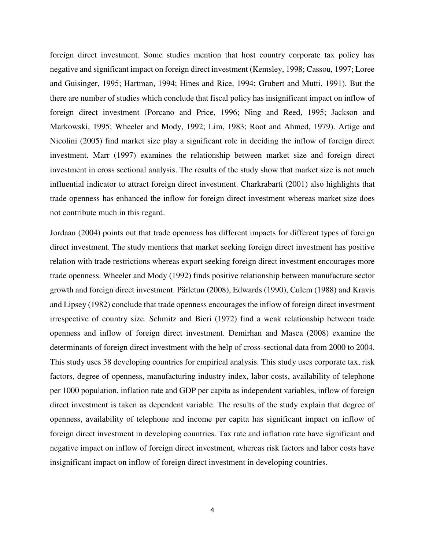foreign direct investment. Some studies mention that host country corporate tax policy has negative and significant impact on foreign direct investment (Kemsley, 1998; Cassou, 1997; Loree and Guisinger, 1995; Hartman, 1994; Hines and Rice, 1994; Grubert and Mutti, 1991). But the there are number of studies which conclude that fiscal policy has insignificant impact on inflow of foreign direct investment (Porcano and Price, 1996; Ning and Reed, 1995; Jackson and Markowski, 1995; Wheeler and Mody, 1992; Lim, 1983; Root and Ahmed, 1979). Artige and Nicolini (2005) find market size play a significant role in deciding the inflow of foreign direct investment. Marr (1997) examines the relationship between market size and foreign direct investment in cross sectional analysis. The results of the study show that market size is not much influential indicator to attract foreign direct investment. Charkrabarti (2001) also highlights that trade openness has enhanced the inflow for foreign direct investment whereas market size does not contribute much in this regard.

Jordaan (2004) points out that trade openness has different impacts for different types of foreign direct investment. The study mentions that market seeking foreign direct investment has positive relation with trade restrictions whereas export seeking foreign direct investment encourages more trade openness. Wheeler and Mody (1992) finds positive relationship between manufacture sector growth and foreign direct investment. Pärletun (2008), Edwards (1990), Culem (1988) and Kravis and Lipsey (1982) conclude that trade openness encourages the inflow of foreign direct investment irrespective of country size. Schmitz and Bieri (1972) find a weak relationship between trade openness and inflow of foreign direct investment. Demirhan and Masca (2008) examine the determinants of foreign direct investment with the help of cross-sectional data from 2000 to 2004. This study uses 38 developing countries for empirical analysis. This study uses corporate tax, risk factors, degree of openness, manufacturing industry index, labor costs, availability of telephone per 1000 population, inflation rate and GDP per capita as independent variables, inflow of foreign direct investment is taken as dependent variable. The results of the study explain that degree of openness, availability of telephone and income per capita has significant impact on inflow of foreign direct investment in developing countries. Tax rate and inflation rate have significant and negative impact on inflow of foreign direct investment, whereas risk factors and labor costs have insignificant impact on inflow of foreign direct investment in developing countries.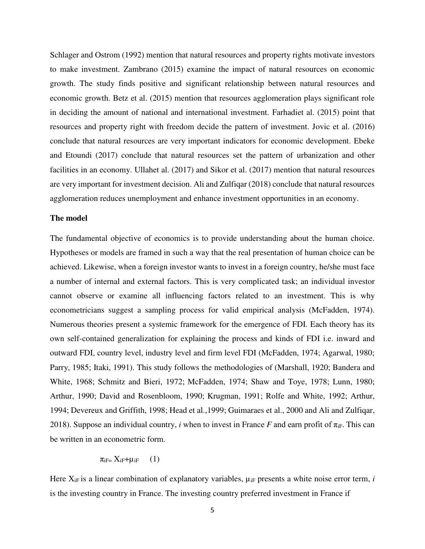Schlager and Ostrom (1992) mention that natural resources and property rights motivate investors to make investment. Zambrano (2015) examine the impact of natural resources on economic growth. The study finds positive and significant relationship between natural resources and economic growth. Betz et al. (2015) mention that resources agglomeration plays significant role in deciding the amount of national and international investment. Farhadiet al. (2015) point that resources and property right with freedom decide the pattern of investment. Jovic et al. (2016) conclude that natural resources are very important indicators for economic development. Ebeke and Etoundi (2017) conclude that natural resources set the pattern of urbanization and other facilities in an economy. Ullahet al. (2017) and Sikor et al. (2017) mention that natural resources are very important for investment decision. Ali and Zulfiqar (2018) conclude that natural resources agglomeration reduces unemployment and enhance investment opportunities in an economy.

#### **The model**

The fundamental objective of economics is to provide understanding about the human choice. Hypotheses or models are framed in such a way that the real presentation of human choice can be achieved. Likewise, when a foreign investor wants to invest in a foreign country, he/she must face a number of internal and external factors. This is very complicated task; an individual investor cannot observe or examine all influencing factors related to an investment. This is why econometricians suggest a sampling process for valid empirical analysis (McFadden, 1974). Numerous theories present a systemic framework for the emergence of FDI. Each theory has its own self-contained generalization for explaining the process and kinds of FDI i.e. inward and outward FDI, country level, industry level and firm level FDI (McFadden, 1974; Agarwal, 1980; Parry, 1985; Itaki, 1991). This study follows the methodologies of (Marshall, 1920; Bandera and White, 1968; Schmitz and Bieri, 1972; McFadden, 1974; Shaw and Toye, 1978; Lunn, 1980; Arthur, 1990; David and Rosenbloom, 1990; Krugman, 1991; Rolfe and White, 1992; Arthur, 1994; Devereux and Griffith, 1998; Head et al.,1999; Guimaraes et al., 2000 and Ali and Zulfiqar, 2018). Suppose an individual country, *i* when to invest in France *F* and earn profit of  $\pi_{\text{IF}}$ . This can be written in an econometric form.

$$
\pi_{iF} = X_{iF} + \mu_{iF} \qquad (1)
$$

Here  $X_{iF}$  is a linear combination of explanatory variables,  $\mu_{iF}$  presents a white noise error term, *i* is the investing country in France. The investing country preferred investment in France if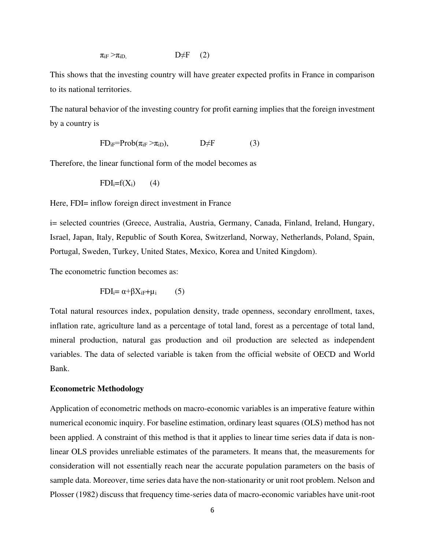$\pi_{\text{if}} > \pi_{\text{in}}$   $D \neq F$  (2)

This shows that the investing country will have greater expected profits in France in comparison to its national territories.

The natural behavior of the investing country for profit earning implies that the foreign investment by a country is

$$
FD_{iF} = Prob(\pi_{iF} > \pi_{iD}), \qquad \qquad D \neq F \qquad (3)
$$

Therefore, the linear functional form of the model becomes as

$$
FDI_i = f(X_i) \qquad (4)
$$

Here, FDI= inflow foreign direct investment in France

i= selected countries (Greece, Australia, Austria, Germany, Canada, Finland, Ireland, Hungary, Israel, Japan, Italy, Republic of South Korea, Switzerland, Norway, Netherlands, Poland, Spain, Portugal, Sweden, Turkey, United States, Mexico, Korea and United Kingdom).

The econometric function becomes as:

$$
FDI_i = \alpha + \beta X_{iF} + \mu_i \tag{5}
$$

Total natural resources index, population density, trade openness, secondary enrollment, taxes, inflation rate, agriculture land as a percentage of total land, forest as a percentage of total land, mineral production, natural gas production and oil production are selected as independent variables. The data of selected variable is taken from the official website of OECD and World Bank.

#### **Econometric Methodology**

Application of econometric methods on macro-economic variables is an imperative feature within numerical economic inquiry. For baseline estimation, ordinary least squares (OLS) method has not been applied. A constraint of this method is that it applies to linear time series data if data is nonlinear OLS provides unreliable estimates of the parameters. It means that, the measurements for consideration will not essentially reach near the accurate population parameters on the basis of sample data. Moreover, time series data have the non-stationarity or unit root problem. Nelson and Plosser (1982) discuss that frequency time-series data of macro-economic variables have unit-root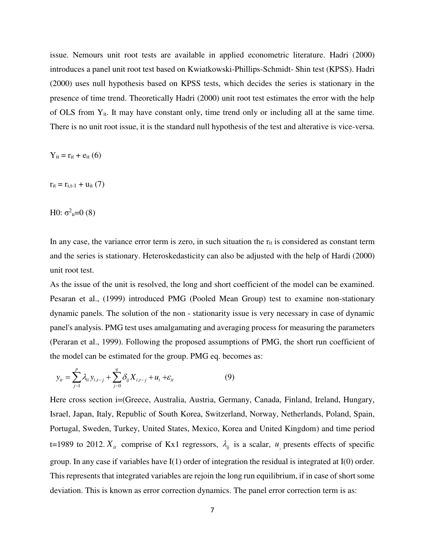issue. Nemours unit root tests are available in applied econometric literature. Hadri (2000) introduces a panel unit root test based on Kwiatkowski-Phillips-Schmidt- Shin test (KPSS). Hadri (2000) uses null hypothesis based on KPSS tests, which decides the series is stationary in the presence of time trend. Theoretically Hadri (2000) unit root test estimates the error with the help of OLS from  $Y_{it}$ . It may have constant only, time trend only or including all at the same time. There is no unit root issue, it is the standard null hypothesis of the test and alterative is vice-versa.

 $Y_{it} = r_{it} + e_{it}$  (6)

 $r_{it} = r_{i,t-1} + u_{it} (7)$ 

H0:  $\sigma^2$ <sub>u</sub>=0 (8)

In any case, the variance error term is zero, in such situation the  $r_{it}$  is considered as constant term and the series is stationary. Heteroskedasticity can also be adjusted with the help of Hardi (2000) unit root test.

As the issue of the unit is resolved, the long and short coefficient of the model can be examined. Pesaran et al., (1999) introduced PMG (Pooled Mean Group) test to examine non-stationary dynamic panels. The solution of the non - stationarity issue is very necessary in case of dynamic panel's analysis. PMG test uses amalgamating and averaging process for measuring the parameters (Peraran et al., 1999). Following the proposed assumptions of PMG, the short run coefficient of the model can be estimated for the group. PMG eq. becomes as:

$$
y_{it} = \sum_{j=1}^{p} \lambda_{ii} y_{i,t-j} + \sum_{j=0}^{q} \delta_{ij} X_{i,t-j} + u_t + \varepsilon_{it}
$$
 (9)

Here cross section i=(Greece, Australia, Austria, Germany, Canada, Finland, Ireland, Hungary, Israel, Japan, Italy, Republic of South Korea, Switzerland, Norway, Netherlands, Poland, Spain, Portugal, Sweden, Turkey, United States, Mexico, Korea and United Kingdom) and time period t=1989 to 2012.  $X_i$  comprise of Kx1 regressors,  $\lambda_{ij}$  is a scalar,  $u_i$  presents effects of specific group. In any case if variables have I(1) order of integration the residual is integrated at I(0) order. This represents that integrated variables are rejoin the long run equilibrium, if in case of short some deviation. This is known as error correction dynamics. The panel error correction term is as: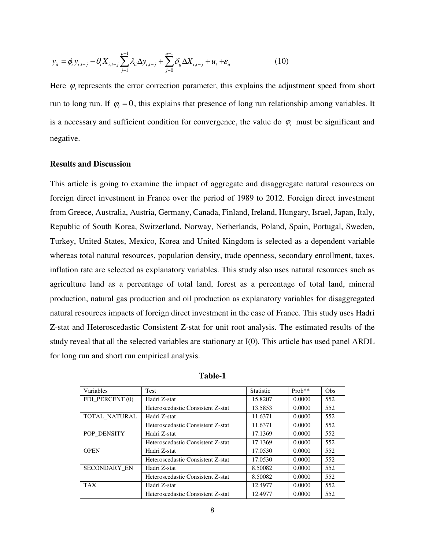$$
y_{it} = \phi_i y_{i,t-j} - \theta_i X_{i,t-j} \sum_{j=1}^{p-1} \lambda_{ti} \Delta y_{i,t-j} + \sum_{j=0}^{q-1} \delta_{ij} \Delta X_{i,t-j} + u_t + \varepsilon_{it}
$$
 (10)

Here  $\varphi$ <sub>i</sub> represents the error correction parameter, this explains the adjustment speed from short run to long run. If  $\varphi$  = 0, this explains that presence of long run relationship among variables. It is a necessary and sufficient condition for convergence, the value do  $\varphi$ <sub>i</sub> must be significant and negative.

# **Results and Discussion**

This article is going to examine the impact of aggregate and disaggregate natural resources on foreign direct investment in France over the period of 1989 to 2012. Foreign direct investment from Greece, Australia, Austria, Germany, Canada, Finland, Ireland, Hungary, Israel, Japan, Italy, Republic of South Korea, Switzerland, Norway, Netherlands, Poland, Spain, Portugal, Sweden, Turkey, United States, Mexico, Korea and United Kingdom is selected as a dependent variable whereas total natural resources, population density, trade openness, secondary enrollment, taxes, inflation rate are selected as explanatory variables. This study also uses natural resources such as agriculture land as a percentage of total land, forest as a percentage of total land, mineral production, natural gas production and oil production as explanatory variables for disaggregated natural resources impacts of foreign direct investment in the case of France. This study uses Hadri Z-stat and Heteroscedastic Consistent Z-stat for unit root analysis. The estimated results of the study reveal that all the selected variables are stationary at I(0). This article has used panel ARDL for long run and short run empirical analysis.

| Variables           | <b>Test</b>                       | <b>Statistic</b> | $Prob**$ | Obs |
|---------------------|-----------------------------------|------------------|----------|-----|
| FDI PERCENT (0)     | Hadri Z-stat                      | 15.8207          | 0.0000   | 552 |
|                     | Heteroscedastic Consistent Z-stat | 13.5853          | 0.0000   | 552 |
| TOTAL NATURAL       | Hadri Z-stat                      | 11.6371          | 0.0000   | 552 |
|                     | Heteroscedastic Consistent Z-stat | 11.6371          | 0.0000   | 552 |
| POP DENSITY         | Hadri Z-stat                      | 17.1369          | 0.0000   | 552 |
|                     | Heteroscedastic Consistent Z-stat | 17.1369          | 0.0000   | 552 |
| <b>OPEN</b>         | Hadri Z-stat                      | 17.0530          | 0.0000   | 552 |
|                     | Heteroscedastic Consistent Z-stat | 17.0530          | 0.0000   | 552 |
| <b>SECONDARY EN</b> | Hadri Z-stat                      | 8.50082          | 0.0000   | 552 |
|                     | Heteroscedastic Consistent Z-stat | 8.50082          | 0.0000   | 552 |
| <b>TAX</b>          | Hadri Z-stat                      | 12.4977          | 0.0000   | 552 |
|                     | Heteroscedastic Consistent Z-stat | 12.4977          | 0.0000   | 552 |

**Table-1**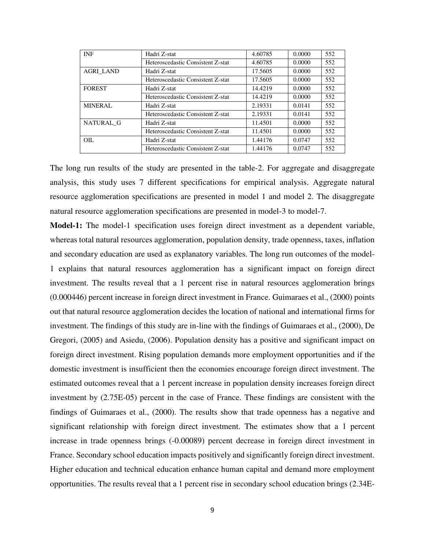| <b>INF</b>       | Hadri Z-stat                      | 4.60785 | 0.0000 | 552 |
|------------------|-----------------------------------|---------|--------|-----|
|                  | Heteroscedastic Consistent Z-stat | 4.60785 | 0.0000 | 552 |
| <b>AGRI LAND</b> | Hadri Z-stat                      | 17.5605 | 0.0000 | 552 |
|                  | Heteroscedastic Consistent Z-stat | 17.5605 | 0.0000 | 552 |
| <b>FOREST</b>    | Hadri Z-stat                      | 14.4219 | 0.0000 | 552 |
|                  | Heteroscedastic Consistent Z-stat | 14.4219 | 0.0000 | 552 |
| <b>MINERAL</b>   | Hadri Z-stat                      | 2.19331 | 0.0141 | 552 |
|                  | Heteroscedastic Consistent Z-stat | 2.19331 | 0.0141 | 552 |
| NATURAL G        | Hadri Z-stat                      | 11.4501 | 0.0000 | 552 |
|                  | Heteroscedastic Consistent Z-stat | 11.4501 | 0.0000 | 552 |
| OIL.             | Hadri Z-stat                      | 1.44176 | 0.0747 | 552 |
|                  | Heteroscedastic Consistent Z-stat | 1.44176 | 0.0747 | 552 |

The long run results of the study are presented in the table-2. For aggregate and disaggregate analysis, this study uses 7 different specifications for empirical analysis. Aggregate natural resource agglomeration specifications are presented in model 1 and model 2. The disaggregate natural resource agglomeration specifications are presented in model-3 to model-7.

**Model-1:** The model-1 specification uses foreign direct investment as a dependent variable, whereas total natural resources agglomeration, population density, trade openness, taxes, inflation and secondary education are used as explanatory variables. The long run outcomes of the model-1 explains that natural resources agglomeration has a significant impact on foreign direct investment. The results reveal that a 1 percent rise in natural resources agglomeration brings (0.000446) percent increase in foreign direct investment in France. Guimaraes et al., (2000) points out that natural resource agglomeration decides the location of national and international firms for investment. The findings of this study are in-line with the findings of Guimaraes et al., (2000), De Gregori, (2005) and Asiedu, (2006). Population density has a positive and significant impact on foreign direct investment. Rising population demands more employment opportunities and if the domestic investment is insufficient then the economies encourage foreign direct investment. The estimated outcomes reveal that a 1 percent increase in population density increases foreign direct investment by (2.75E-05) percent in the case of France. These findings are consistent with the findings of Guimaraes et al., (2000). The results show that trade openness has a negative and significant relationship with foreign direct investment. The estimates show that a 1 percent increase in trade openness brings (-0.00089) percent decrease in foreign direct investment in France. Secondary school education impacts positively and significantly foreign direct investment. Higher education and technical education enhance human capital and demand more employment opportunities. The results reveal that a 1 percent rise in secondary school education brings (2.34E-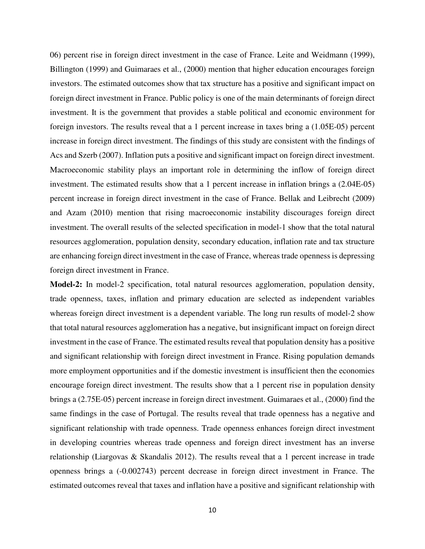06) percent rise in foreign direct investment in the case of France. Leite and Weidmann (1999), Billington (1999) and Guimaraes et al., (2000) mention that higher education encourages foreign investors. The estimated outcomes show that tax structure has a positive and significant impact on foreign direct investment in France. Public policy is one of the main determinants of foreign direct investment. It is the government that provides a stable political and economic environment for foreign investors. The results reveal that a 1 percent increase in taxes bring a (1.05E-05) percent increase in foreign direct investment. The findings of this study are consistent with the findings of Acs and Szerb (2007). Inflation puts a positive and significant impact on foreign direct investment. Macroeconomic stability plays an important role in determining the inflow of foreign direct investment. The estimated results show that a 1 percent increase in inflation brings a (2.04E-05) percent increase in foreign direct investment in the case of France. Bellak and Leibrecht (2009) and Azam (2010) mention that rising macroeconomic instability discourages foreign direct investment. The overall results of the selected specification in model-1 show that the total natural resources agglomeration, population density, secondary education, inflation rate and tax structure are enhancing foreign direct investment in the case of France, whereas trade openness is depressing foreign direct investment in France.

**Model-2:** In model-2 specification, total natural resources agglomeration, population density, trade openness, taxes, inflation and primary education are selected as independent variables whereas foreign direct investment is a dependent variable. The long run results of model-2 show that total natural resources agglomeration has a negative, but insignificant impact on foreign direct investment in the case of France. The estimated results reveal that population density has a positive and significant relationship with foreign direct investment in France. Rising population demands more employment opportunities and if the domestic investment is insufficient then the economies encourage foreign direct investment. The results show that a 1 percent rise in population density brings a (2.75E-05) percent increase in foreign direct investment. Guimaraes et al., (2000) find the same findings in the case of Portugal. The results reveal that trade openness has a negative and significant relationship with trade openness. Trade openness enhances foreign direct investment in developing countries whereas trade openness and foreign direct investment has an inverse relationship (Liargovas & Skandalis 2012). The results reveal that a 1 percent increase in trade openness brings a (-0.002743) percent decrease in foreign direct investment in France. The estimated outcomes reveal that taxes and inflation have a positive and significant relationship with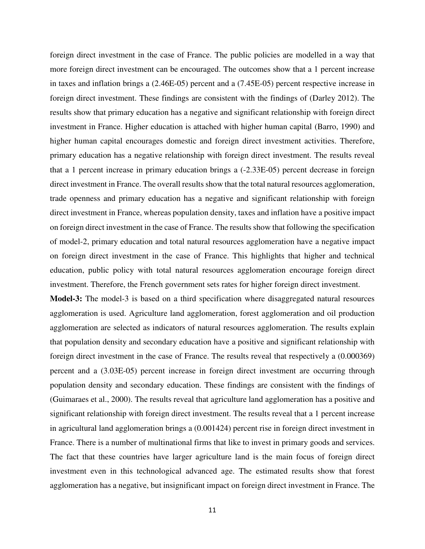foreign direct investment in the case of France. The public policies are modelled in a way that more foreign direct investment can be encouraged. The outcomes show that a 1 percent increase in taxes and inflation brings a (2.46E-05) percent and a (7.45E-05) percent respective increase in foreign direct investment. These findings are consistent with the findings of (Darley 2012). The results show that primary education has a negative and significant relationship with foreign direct investment in France. Higher education is attached with higher human capital (Barro, 1990) and higher human capital encourages domestic and foreign direct investment activities. Therefore, primary education has a negative relationship with foreign direct investment. The results reveal that a 1 percent increase in primary education brings a (-2.33E-05) percent decrease in foreign direct investment in France. The overall results show that the total natural resources agglomeration, trade openness and primary education has a negative and significant relationship with foreign direct investment in France, whereas population density, taxes and inflation have a positive impact on foreign direct investment in the case of France. The results show that following the specification of model-2, primary education and total natural resources agglomeration have a negative impact on foreign direct investment in the case of France. This highlights that higher and technical education, public policy with total natural resources agglomeration encourage foreign direct investment. Therefore, the French government sets rates for higher foreign direct investment.

**Model-3:** The model-3 is based on a third specification where disaggregated natural resources agglomeration is used. Agriculture land agglomeration, forest agglomeration and oil production agglomeration are selected as indicators of natural resources agglomeration. The results explain that population density and secondary education have a positive and significant relationship with foreign direct investment in the case of France. The results reveal that respectively a (0.000369) percent and a (3.03E-05) percent increase in foreign direct investment are occurring through population density and secondary education. These findings are consistent with the findings of (Guimaraes et al., 2000). The results reveal that agriculture land agglomeration has a positive and significant relationship with foreign direct investment. The results reveal that a 1 percent increase in agricultural land agglomeration brings a (0.001424) percent rise in foreign direct investment in France. There is a number of multinational firms that like to invest in primary goods and services. The fact that these countries have larger agriculture land is the main focus of foreign direct investment even in this technological advanced age. The estimated results show that forest agglomeration has a negative, but insignificant impact on foreign direct investment in France. The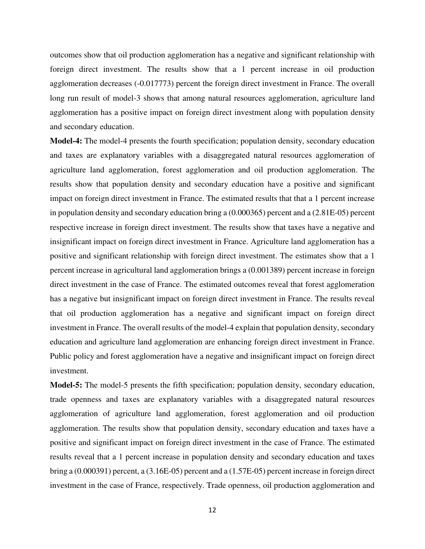outcomes show that oil production agglomeration has a negative and significant relationship with foreign direct investment. The results show that a 1 percent increase in oil production agglomeration decreases (-0.017773) percent the foreign direct investment in France. The overall long run result of model-3 shows that among natural resources agglomeration, agriculture land agglomeration has a positive impact on foreign direct investment along with population density and secondary education.

**Model-4:** The model-4 presents the fourth specification; population density, secondary education and taxes are explanatory variables with a disaggregated natural resources agglomeration of agriculture land agglomeration, forest agglomeration and oil production agglomeration. The results show that population density and secondary education have a positive and significant impact on foreign direct investment in France. The estimated results that that a 1 percent increase in population density and secondary education bring a (0.000365) percent and a (2.81E-05) percent respective increase in foreign direct investment. The results show that taxes have a negative and insignificant impact on foreign direct investment in France. Agriculture land agglomeration has a positive and significant relationship with foreign direct investment. The estimates show that a 1 percent increase in agricultural land agglomeration brings a (0.001389) percent increase in foreign direct investment in the case of France. The estimated outcomes reveal that forest agglomeration has a negative but insignificant impact on foreign direct investment in France. The results reveal that oil production agglomeration has a negative and significant impact on foreign direct investment in France. The overall results of the model-4 explain that population density, secondary education and agriculture land agglomeration are enhancing foreign direct investment in France. Public policy and forest agglomeration have a negative and insignificant impact on foreign direct investment.

**Model-5:** The model-5 presents the fifth specification; population density, secondary education, trade openness and taxes are explanatory variables with a disaggregated natural resources agglomeration of agriculture land agglomeration, forest agglomeration and oil production agglomeration. The results show that population density, secondary education and taxes have a positive and significant impact on foreign direct investment in the case of France. The estimated results reveal that a 1 percent increase in population density and secondary education and taxes bring a (0.000391) percent, a (3.16E-05) percent and a (1.57E-05) percent increase in foreign direct investment in the case of France, respectively. Trade openness, oil production agglomeration and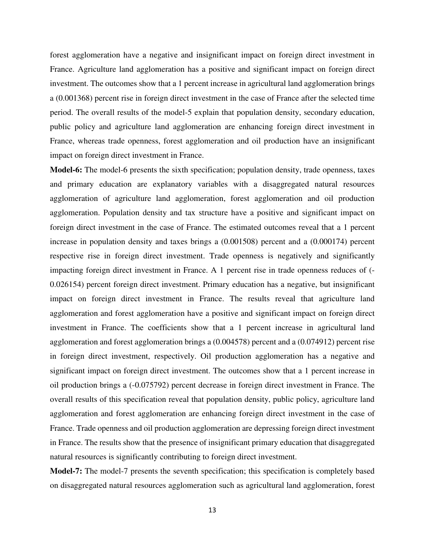forest agglomeration have a negative and insignificant impact on foreign direct investment in France. Agriculture land agglomeration has a positive and significant impact on foreign direct investment. The outcomes show that a 1 percent increase in agricultural land agglomeration brings a (0.001368) percent rise in foreign direct investment in the case of France after the selected time period. The overall results of the model-5 explain that population density, secondary education, public policy and agriculture land agglomeration are enhancing foreign direct investment in France, whereas trade openness, forest agglomeration and oil production have an insignificant impact on foreign direct investment in France.

**Model-6:** The model-6 presents the sixth specification; population density, trade openness, taxes and primary education are explanatory variables with a disaggregated natural resources agglomeration of agriculture land agglomeration, forest agglomeration and oil production agglomeration. Population density and tax structure have a positive and significant impact on foreign direct investment in the case of France. The estimated outcomes reveal that a 1 percent increase in population density and taxes brings a (0.001508) percent and a (0.000174) percent respective rise in foreign direct investment. Trade openness is negatively and significantly impacting foreign direct investment in France. A 1 percent rise in trade openness reduces of (- 0.026154) percent foreign direct investment. Primary education has a negative, but insignificant impact on foreign direct investment in France. The results reveal that agriculture land agglomeration and forest agglomeration have a positive and significant impact on foreign direct investment in France. The coefficients show that a 1 percent increase in agricultural land agglomeration and forest agglomeration brings a (0.004578) percent and a (0.074912) percent rise in foreign direct investment, respectively. Oil production agglomeration has a negative and significant impact on foreign direct investment. The outcomes show that a 1 percent increase in oil production brings a (-0.075792) percent decrease in foreign direct investment in France. The overall results of this specification reveal that population density, public policy, agriculture land agglomeration and forest agglomeration are enhancing foreign direct investment in the case of France. Trade openness and oil production agglomeration are depressing foreign direct investment in France. The results show that the presence of insignificant primary education that disaggregated natural resources is significantly contributing to foreign direct investment.

**Model-7:** The model-7 presents the seventh specification; this specification is completely based on disaggregated natural resources agglomeration such as agricultural land agglomeration, forest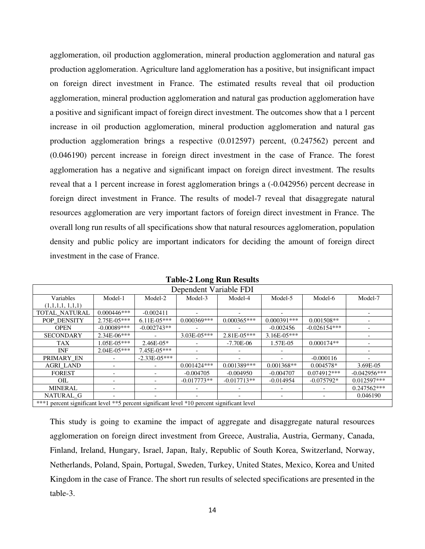agglomeration, oil production agglomeration, mineral production agglomeration and natural gas production agglomeration. Agriculture land agglomeration has a positive, but insignificant impact on foreign direct investment in France. The estimated results reveal that oil production agglomeration, mineral production agglomeration and natural gas production agglomeration have a positive and significant impact of foreign direct investment. The outcomes show that a 1 percent increase in oil production agglomeration, mineral production agglomeration and natural gas production agglomeration brings a respective (0.012597) percent, (0.247562) percent and (0.046190) percent increase in foreign direct investment in the case of France. The forest agglomeration has a negative and significant impact on foreign direct investment. The results reveal that a 1 percent increase in forest agglomeration brings a (-0.042956) percent decrease in foreign direct investment in France. The results of model-7 reveal that disaggregate natural resources agglomeration are very important factors of foreign direct investment in France. The overall long run results of all specifications show that natural resources agglomeration, population density and public policy are important indicators for deciding the amount of foreign direct investment in the case of France.

| Dependent Variable FDI                                                                     |                 |                  |               |                 |               |                |                |
|--------------------------------------------------------------------------------------------|-----------------|------------------|---------------|-----------------|---------------|----------------|----------------|
| Variables                                                                                  | Model-1         | Model-2          | Model-3       | Model-4         | Model-5       | Model-6        | Model-7        |
| (1,1,1,1,1,1,1)                                                                            |                 |                  |               |                 |               |                |                |
| TOTAL_NATURAL                                                                              | $0.000446***$   | $-0.002411$      |               |                 |               |                |                |
| POP DENSITY                                                                                | 2.75E-05***     | $6.11E-05***$    | $0.000369***$ | $0.000365***$   | $0.000391***$ | $0.001508**$   |                |
| <b>OPEN</b>                                                                                | $-0.00089***$   | $-0.002743**$    |               |                 | $-0.002456$   | $-0.026154***$ |                |
| <b>SECONDARY</b>                                                                           | $2.34E-06***$   |                  | 3.03E-05***   | $2.81E - 05***$ | $3.16E-05***$ |                |                |
| <b>TAX</b>                                                                                 | $1.05E - 05***$ | $2.46E-05*$      |               | $-7.70E-06$     | 1.57E-05      | $0.000174**$   |                |
| <b>INF</b>                                                                                 | $2.04E-0.5***$  | $7.45E-05***$    |               |                 |               |                |                |
| PRIMARY EN                                                                                 |                 | $-2.33E - 05***$ |               |                 |               | $-0.000116$    |                |
| <b>AGRI LAND</b>                                                                           |                 |                  | $0.001424***$ | $0.001389***$   | $0.001368**$  | $0.004578*$    | 3.69E-05       |
| <b>FOREST</b>                                                                              |                 |                  | $-0.004705$   | $-0.004950$     | $-0.004707$   | $0.074912***$  | $-0.042956***$ |
| OIL                                                                                        |                 |                  | $-0.017773**$ | $-0.017713**$   | $-0.014954$   | $-0.075792*$   | $0.012597***$  |
| <b>MINERAL</b>                                                                             |                 |                  |               |                 |               |                | $0.247562***$  |
| NATURAL G                                                                                  |                 |                  |               |                 |               |                | 0.046190       |
| ***1 percent significant level **5 percent significant level *10 percent significant level |                 |                  |               |                 |               |                |                |

**Table-2 Long Run Results** 

This study is going to examine the impact of aggregate and disaggregate natural resources agglomeration on foreign direct investment from Greece, Australia, Austria, Germany, Canada, Finland, Ireland, Hungary, Israel, Japan, Italy, Republic of South Korea, Switzerland, Norway, Netherlands, Poland, Spain, Portugal, Sweden, Turkey, United States, Mexico, Korea and United Kingdom in the case of France. The short run results of selected specifications are presented in the table-3.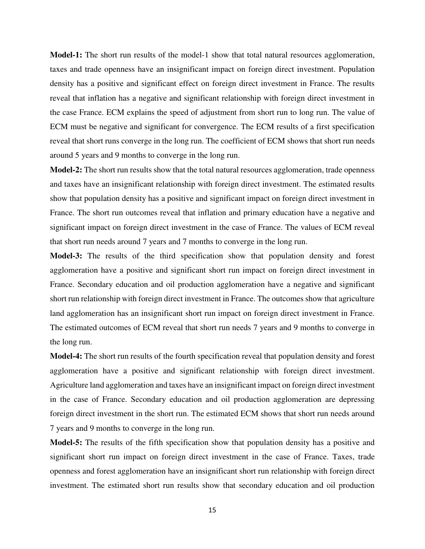**Model-1:** The short run results of the model-1 show that total natural resources agglomeration, taxes and trade openness have an insignificant impact on foreign direct investment. Population density has a positive and significant effect on foreign direct investment in France. The results reveal that inflation has a negative and significant relationship with foreign direct investment in the case France. ECM explains the speed of adjustment from short run to long run. The value of ECM must be negative and significant for convergence. The ECM results of a first specification reveal that short runs converge in the long run. The coefficient of ECM shows that short run needs around 5 years and 9 months to converge in the long run.

**Model-2:** The short run results show that the total natural resources agglomeration, trade openness and taxes have an insignificant relationship with foreign direct investment. The estimated results show that population density has a positive and significant impact on foreign direct investment in France. The short run outcomes reveal that inflation and primary education have a negative and significant impact on foreign direct investment in the case of France. The values of ECM reveal that short run needs around 7 years and 7 months to converge in the long run.

**Model-3:** The results of the third specification show that population density and forest agglomeration have a positive and significant short run impact on foreign direct investment in France. Secondary education and oil production agglomeration have a negative and significant short run relationship with foreign direct investment in France. The outcomes show that agriculture land agglomeration has an insignificant short run impact on foreign direct investment in France. The estimated outcomes of ECM reveal that short run needs 7 years and 9 months to converge in the long run.

**Model-4:** The short run results of the fourth specification reveal that population density and forest agglomeration have a positive and significant relationship with foreign direct investment. Agriculture land agglomeration and taxes have an insignificant impact on foreign direct investment in the case of France. Secondary education and oil production agglomeration are depressing foreign direct investment in the short run. The estimated ECM shows that short run needs around 7 years and 9 months to converge in the long run.

**Model-5:** The results of the fifth specification show that population density has a positive and significant short run impact on foreign direct investment in the case of France. Taxes, trade openness and forest agglomeration have an insignificant short run relationship with foreign direct investment. The estimated short run results show that secondary education and oil production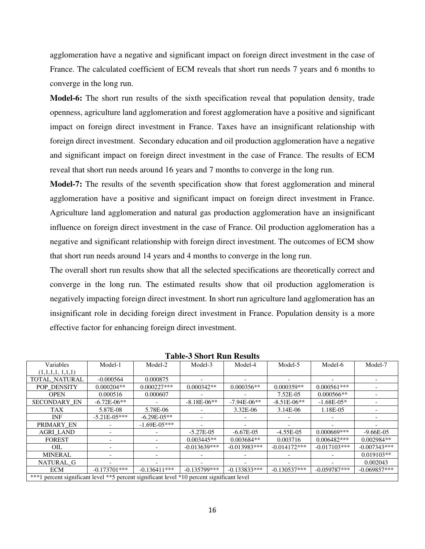agglomeration have a negative and significant impact on foreign direct investment in the case of France. The calculated coefficient of ECM reveals that short run needs 7 years and 6 months to converge in the long run.

**Model-6:** The short run results of the sixth specification reveal that population density, trade openness, agriculture land agglomeration and forest agglomeration have a positive and significant impact on foreign direct investment in France. Taxes have an insignificant relationship with foreign direct investment. Secondary education and oil production agglomeration have a negative and significant impact on foreign direct investment in the case of France. The results of ECM reveal that short run needs around 16 years and 7 months to converge in the long run.

**Model-7:** The results of the seventh specification show that forest agglomeration and mineral agglomeration have a positive and significant impact on foreign direct investment in France. Agriculture land agglomeration and natural gas production agglomeration have an insignificant influence on foreign direct investment in the case of France. Oil production agglomeration has a negative and significant relationship with foreign direct investment. The outcomes of ECM show that short run needs around 14 years and 4 months to converge in the long run.

The overall short run results show that all the selected specifications are theoretically correct and converge in the long run. The estimated results show that oil production agglomeration is negatively impacting foreign direct investment. In short run agriculture land agglomeration has an insignificant role in deciding foreign direct investment in France. Population density is a more effective factor for enhancing foreign direct investment.

| Variables                                                                                   | Model-1          | Model-2                  | Model-3         | Model-4         | Model-5         | Model-6        | Model-7        |
|---------------------------------------------------------------------------------------------|------------------|--------------------------|-----------------|-----------------|-----------------|----------------|----------------|
| (1,1,1,1,1,1,1)                                                                             |                  |                          |                 |                 |                 |                |                |
| TOTAL NATURAL                                                                               | $-0.000564$      | 0.000875                 |                 |                 |                 |                |                |
| POP DENSITY                                                                                 | $0.000204**$     | $0.000227***$            | $0.000342**$    | $0.000356**$    | $0.000359**$    | $0.000561***$  |                |
| <b>OPEN</b>                                                                                 | 0.000516         | 0.000607                 |                 |                 | 7.52E-05        | $0.000566**$   |                |
| <b>SECONDARY EN</b>                                                                         | $-6.72E - 06**$  |                          | $-8.18E - 06**$ | $-7.94E - 06**$ | $-8.51E - 06**$ | $-1.68E-05*$   |                |
| <b>TAX</b>                                                                                  | 5.87E-08         | 5.78E-06                 |                 | 3.32E-06        | 3.14E-06        | 1.18E-05       |                |
| <b>INF</b>                                                                                  | $-5.21E - 05***$ | $-6.29E - 05**$          |                 |                 |                 |                |                |
| PRIMARY EN                                                                                  |                  | $-1.69E - 0.5***$        |                 |                 |                 |                |                |
| <b>AGRI LAND</b>                                                                            |                  |                          | $-5.27E-05$     | $-6.67E-05$     | $-4.55E-05$     | $0.000669***$  | $-9.66E-05$    |
| <b>FOREST</b>                                                                               |                  |                          | $0.003445**$    | $0.003684**$    | 0.003716        | $0.006482***$  | $0.002984**$   |
| OIL                                                                                         |                  | $\overline{\phantom{0}}$ | $-0.013639***$  | $-0.013983***$  | $-0.014172***$  | $-0.017103***$ | $-0.007343***$ |
| <b>MINERAL</b>                                                                              |                  |                          |                 |                 |                 |                | $0.019103**$   |
| NATURAL G                                                                                   |                  |                          |                 |                 |                 |                | 0.002043       |
| <b>ECM</b>                                                                                  | $-0.173701$ ***  | $-0.136411***$           | $-0.135799$ *** | $-0.133833***$  | $-0.130537***$  | $-0.059787***$ | $-0.069857***$ |
| ***1 percent significant level ***5 percent significant level *10 percent significant level |                  |                          |                 |                 |                 |                |                |

**Table-3 Short Run Results**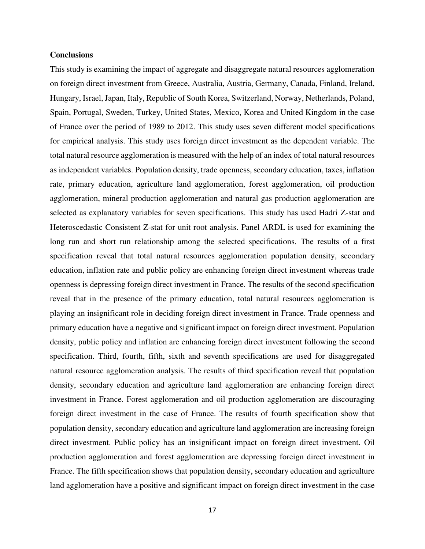#### **Conclusions**

This study is examining the impact of aggregate and disaggregate natural resources agglomeration on foreign direct investment from Greece, Australia, Austria, Germany, Canada, Finland, Ireland, Hungary, Israel, Japan, Italy, Republic of South Korea, Switzerland, Norway, Netherlands, Poland, Spain, Portugal, Sweden, Turkey, United States, Mexico, Korea and United Kingdom in the case of France over the period of 1989 to 2012. This study uses seven different model specifications for empirical analysis. This study uses foreign direct investment as the dependent variable. The total natural resource agglomeration is measured with the help of an index of total natural resources as independent variables. Population density, trade openness, secondary education, taxes, inflation rate, primary education, agriculture land agglomeration, forest agglomeration, oil production agglomeration, mineral production agglomeration and natural gas production agglomeration are selected as explanatory variables for seven specifications. This study has used Hadri Z-stat and Heteroscedastic Consistent Z-stat for unit root analysis. Panel ARDL is used for examining the long run and short run relationship among the selected specifications. The results of a first specification reveal that total natural resources agglomeration population density, secondary education, inflation rate and public policy are enhancing foreign direct investment whereas trade openness is depressing foreign direct investment in France. The results of the second specification reveal that in the presence of the primary education, total natural resources agglomeration is playing an insignificant role in deciding foreign direct investment in France. Trade openness and primary education have a negative and significant impact on foreign direct investment. Population density, public policy and inflation are enhancing foreign direct investment following the second specification. Third, fourth, fifth, sixth and seventh specifications are used for disaggregated natural resource agglomeration analysis. The results of third specification reveal that population density, secondary education and agriculture land agglomeration are enhancing foreign direct investment in France. Forest agglomeration and oil production agglomeration are discouraging foreign direct investment in the case of France. The results of fourth specification show that population density, secondary education and agriculture land agglomeration are increasing foreign direct investment. Public policy has an insignificant impact on foreign direct investment. Oil production agglomeration and forest agglomeration are depressing foreign direct investment in France. The fifth specification shows that population density, secondary education and agriculture land agglomeration have a positive and significant impact on foreign direct investment in the case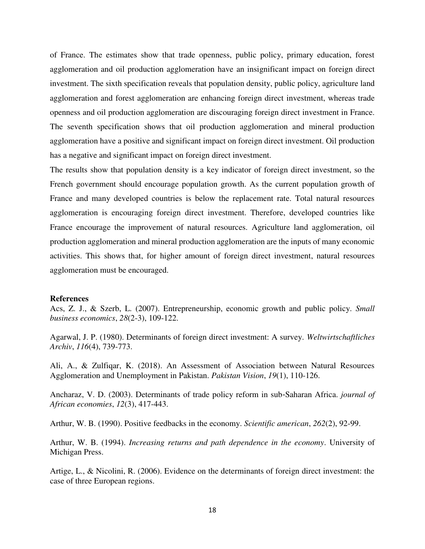of France. The estimates show that trade openness, public policy, primary education, forest agglomeration and oil production agglomeration have an insignificant impact on foreign direct investment. The sixth specification reveals that population density, public policy, agriculture land agglomeration and forest agglomeration are enhancing foreign direct investment, whereas trade openness and oil production agglomeration are discouraging foreign direct investment in France. The seventh specification shows that oil production agglomeration and mineral production agglomeration have a positive and significant impact on foreign direct investment. Oil production has a negative and significant impact on foreign direct investment.

The results show that population density is a key indicator of foreign direct investment, so the French government should encourage population growth. As the current population growth of France and many developed countries is below the replacement rate. Total natural resources agglomeration is encouraging foreign direct investment. Therefore, developed countries like France encourage the improvement of natural resources. Agriculture land agglomeration, oil production agglomeration and mineral production agglomeration are the inputs of many economic activities. This shows that, for higher amount of foreign direct investment, natural resources agglomeration must be encouraged.

#### **References**

Acs, Z. J., & Szerb, L. (2007). Entrepreneurship, economic growth and public policy. *Small business economics*, *28*(2-3), 109-122.

Agarwal, J. P. (1980). Determinants of foreign direct investment: A survey. *Weltwirtschaftliches Archiv*, *116*(4), 739-773.

Ali, A., & Zulfiqar, K. (2018). An Assessment of Association between Natural Resources Agglomeration and Unemployment in Pakistan. *Pakistan Vision*, *19*(1), 110-126.

Ancharaz, V. D. (2003). Determinants of trade policy reform in sub‐Saharan Africa. *journal of African economies*, *12*(3), 417-443.

Arthur, W. B. (1990). Positive feedbacks in the economy. *Scientific american*, *262*(2), 92-99.

Arthur, W. B. (1994). *Increasing returns and path dependence in the economy*. University of Michigan Press.

Artige, L., & Nicolini, R. (2006). Evidence on the determinants of foreign direct investment: the case of three European regions.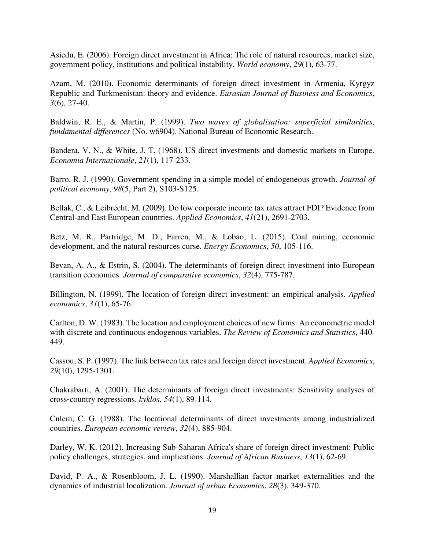Asiedu, E. (2006). Foreign direct investment in Africa: The role of natural resources, market size, government policy, institutions and political instability. *World economy*, *29*(1), 63-77.

Azam, M. (2010). Economic determinants of foreign direct investment in Armenia, Kyrgyz Republic and Turkmenistan: theory and evidence. *Eurasian Journal of Business and Economics*, *3*(6), 27-40.

Baldwin, R. E., & Martin, P. (1999). *Two waves of globalisation: superficial similarities, fundamental differences* (No. w6904). National Bureau of Economic Research.

Bandera, V. N., & White, J. T. (1968). US direct investments and domestic markets in Europe. *Economia Internazionale*, *21*(1), 117-233.

Barro, R. J. (1990). Government spending in a simple model of endogeneous growth. *Journal of political economy*, *98*(5, Part 2), S103-S125.

Bellak, C., & Leibrecht, M. (2009). Do low corporate income tax rates attract FDI? Evidence from Central-and East European countries. *Applied Economics*, *41*(21), 2691-2703.

Betz, M. R., Partridge, M. D., Farren, M., & Lobao, L. (2015). Coal mining, economic development, and the natural resources curse. *Energy Economics*, *50*, 105-116.

Bevan, A. A., & Estrin, S. (2004). The determinants of foreign direct investment into European transition economies. *Journal of comparative economics*, *32*(4), 775-787.

Billington, N. (1999). The location of foreign direct investment: an empirical analysis. *Applied economics*, *31*(1), 65-76.

Carlton, D. W. (1983). The location and employment choices of new firms: An econometric model with discrete and continuous endogenous variables. *The Review of Economics and Statistics*, 440- 449.

Cassou, S. P. (1997). The link between tax rates and foreign direct investment. *Applied Economics*, *29*(10), 1295-1301.

Chakrabarti, A. (2001). The determinants of foreign direct investments: Sensitivity analyses of cross‐country regressions. *kyklos*, *54*(1), 89-114.

Culem, C. G. (1988). The locational determinants of direct investments among industrialized countries. *European economic review*, *32*(4), 885-904.

Darley, W. K. (2012). Increasing Sub-Saharan Africa's share of foreign direct investment: Public policy challenges, strategies, and implications. *Journal of African Business*, *13*(1), 62-69.

David, P. A., & Rosenbloom, J. L. (1990). Marshallian factor market externalities and the dynamics of industrial localization. *Journal of urban Economics*, *28*(3), 349-370.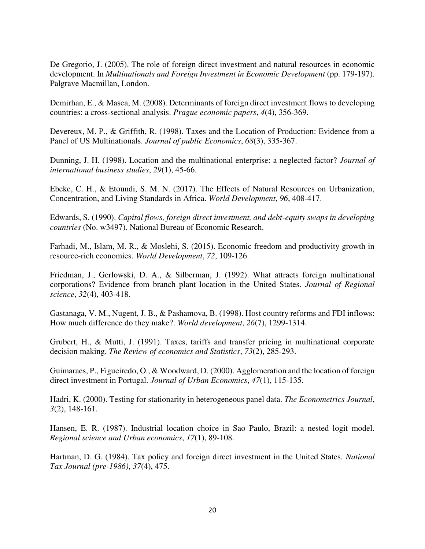De Gregorio, J. (2005). The role of foreign direct investment and natural resources in economic development. In *Multinationals and Foreign Investment in Economic Development* (pp. 179-197). Palgrave Macmillan, London.

Demirhan, E., & Masca, M. (2008). Determinants of foreign direct investment flows to developing countries: a cross-sectional analysis. *Prague economic papers*, *4*(4), 356-369.

Devereux, M. P., & Griffith, R. (1998). Taxes and the Location of Production: Evidence from a Panel of US Multinationals. *Journal of public Economics*, *68*(3), 335-367.

Dunning, J. H. (1998). Location and the multinational enterprise: a neglected factor? *Journal of international business studies*, *29*(1), 45-66.

Ebeke, C. H., & Etoundi, S. M. N. (2017). The Effects of Natural Resources on Urbanization, Concentration, and Living Standards in Africa. *World Development*, *96*, 408-417.

Edwards, S. (1990). *Capital flows, foreign direct investment, and debt-equity swaps in developing countries* (No. w3497). National Bureau of Economic Research.

Farhadi, M., Islam, M. R., & Moslehi, S. (2015). Economic freedom and productivity growth in resource-rich economies. *World Development*, *72*, 109-126.

Friedman, J., Gerlowski, D. A., & Silberman, J. (1992). What attracts foreign multinational corporations? Evidence from branch plant location in the United States. *Journal of Regional science*, *32*(4), 403-418.

Gastanaga, V. M., Nugent, J. B., & Pashamova, B. (1998). Host country reforms and FDI inflows: How much difference do they make?. *World development*, *26*(7), 1299-1314.

Grubert, H., & Mutti, J. (1991). Taxes, tariffs and transfer pricing in multinational corporate decision making. *The Review of economics and Statistics*, *73*(2), 285-293.

Guimaraes, P., Figueiredo, O., & Woodward, D. (2000). Agglomeration and the location of foreign direct investment in Portugal. *Journal of Urban Economics*, *47*(1), 115-135.

Hadri, K. (2000). Testing for stationarity in heterogeneous panel data. *The Econometrics Journal*, *3*(2), 148-161.

Hansen, E. R. (1987). Industrial location choice in Sao Paulo, Brazil: a nested logit model. *Regional science and Urban economics*, *17*(1), 89-108.

Hartman, D. G. (1984). Tax policy and foreign direct investment in the United States. *National Tax Journal (pre-1986)*, *37*(4), 475.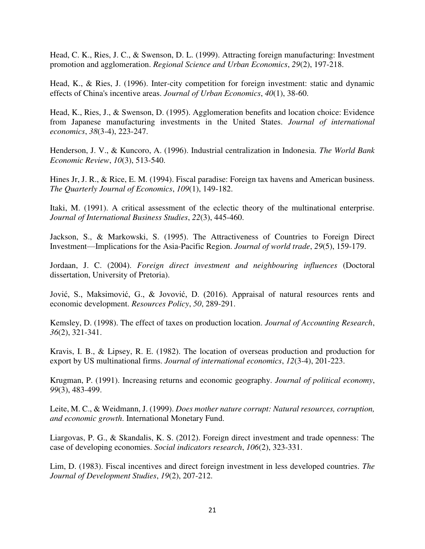Head, C. K., Ries, J. C., & Swenson, D. L. (1999). Attracting foreign manufacturing: Investment promotion and agglomeration. *Regional Science and Urban Economics*, *29*(2), 197-218.

Head, K., & Ries, J. (1996). Inter-city competition for foreign investment: static and dynamic effects of China's incentive areas. *Journal of Urban Economics*, *40*(1), 38-60.

Head, K., Ries, J., & Swenson, D. (1995). Agglomeration benefits and location choice: Evidence from Japanese manufacturing investments in the United States. *Journal of international economics*, *38*(3-4), 223-247.

Henderson, J. V., & Kuncoro, A. (1996). Industrial centralization in Indonesia. *The World Bank Economic Review*, *10*(3), 513-540.

Hines Jr, J. R., & Rice, E. M. (1994). Fiscal paradise: Foreign tax havens and American business. *The Quarterly Journal of Economics*, *109*(1), 149-182.

Itaki, M. (1991). A critical assessment of the eclectic theory of the multinational enterprise. *Journal of International Business Studies*, *22*(3), 445-460.

Jackson, S., & Markowski, S. (1995). The Attractiveness of Countries to Foreign Direct Investment—Implications for the Asia-Pacific Region. *Journal of world trade*, *29*(5), 159-179.

Jordaan, J. C. (2004). *Foreign direct investment and neighbouring influences* (Doctoral dissertation, University of Pretoria).

Jović, S., Maksimović, G., & Jovović, D. (2016). Appraisal of natural resources rents and economic development. *Resources Policy*, *50*, 289-291.

Kemsley, D. (1998). The effect of taxes on production location. *Journal of Accounting Research*, *36*(2), 321-341.

Kravis, I. B., & Lipsey, R. E. (1982). The location of overseas production and production for export by US multinational firms. *Journal of international economics*, *12*(3-4), 201-223.

Krugman, P. (1991). Increasing returns and economic geography. *Journal of political economy*, *99*(3), 483-499.

Leite, M. C., & Weidmann, J. (1999). *Does mother nature corrupt: Natural resources, corruption, and economic growth*. International Monetary Fund.

Liargovas, P. G., & Skandalis, K. S. (2012). Foreign direct investment and trade openness: The case of developing economies. *Social indicators research*, *106*(2), 323-331.

Lim, D. (1983). Fiscal incentives and direct foreign investment in less developed countries. *The Journal of Development Studies*, *19*(2), 207-212.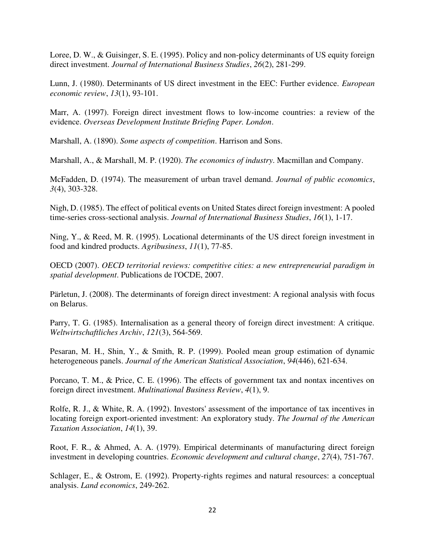Loree, D. W., & Guisinger, S. E. (1995). Policy and non-policy determinants of US equity foreign direct investment. *Journal of International Business Studies*, *26*(2), 281-299.

Lunn, J. (1980). Determinants of US direct investment in the EEC: Further evidence. *European economic review*, *13*(1), 93-101.

Marr, A. (1997). Foreign direct investment flows to low-income countries: a review of the evidence. *Overseas Development Institute Briefing Paper. London*.

Marshall, A. (1890). *Some aspects of competition*. Harrison and Sons.

Marshall, A., & Marshall, M. P. (1920). *The economics of industry*. Macmillan and Company.

McFadden, D. (1974). The measurement of urban travel demand. *Journal of public economics*, *3*(4), 303-328.

Nigh, D. (1985). The effect of political events on United States direct foreign investment: A pooled time-series cross-sectional analysis. *Journal of International Business Studies*, *16*(1), 1-17.

Ning, Y., & Reed, M. R. (1995). Locational determinants of the US direct foreign investment in food and kindred products. *Agribusiness*, *11*(1), 77-85.

OECD (2007). *OECD territorial reviews: competitive cities: a new entrepreneurial paradigm in spatial development*. Publications de l'OCDE, 2007.

Pärletun, J. (2008). The determinants of foreign direct investment: A regional analysis with focus on Belarus.

Parry, T. G. (1985). Internalisation as a general theory of foreign direct investment: A critique. *Weltwirtschaftliches Archiv*, *121*(3), 564-569.

Pesaran, M. H., Shin, Y., & Smith, R. P. (1999). Pooled mean group estimation of dynamic heterogeneous panels. *Journal of the American Statistical Association*, *94*(446), 621-634.

Porcano, T. M., & Price, C. E. (1996). The effects of government tax and nontax incentives on foreign direct investment. *Multinational Business Review*, *4*(1), 9.

Rolfe, R. J., & White, R. A. (1992). Investors' assessment of the importance of tax incentives in locating foreign export-oriented investment: An exploratory study. *The Journal of the American Taxation Association*, *14*(1), 39.

Root, F. R., & Ahmed, A. A. (1979). Empirical determinants of manufacturing direct foreign investment in developing countries. *Economic development and cultural change*, *27*(4), 751-767.

Schlager, E., & Ostrom, E. (1992). Property-rights regimes and natural resources: a conceptual analysis. *Land economics*, 249-262.